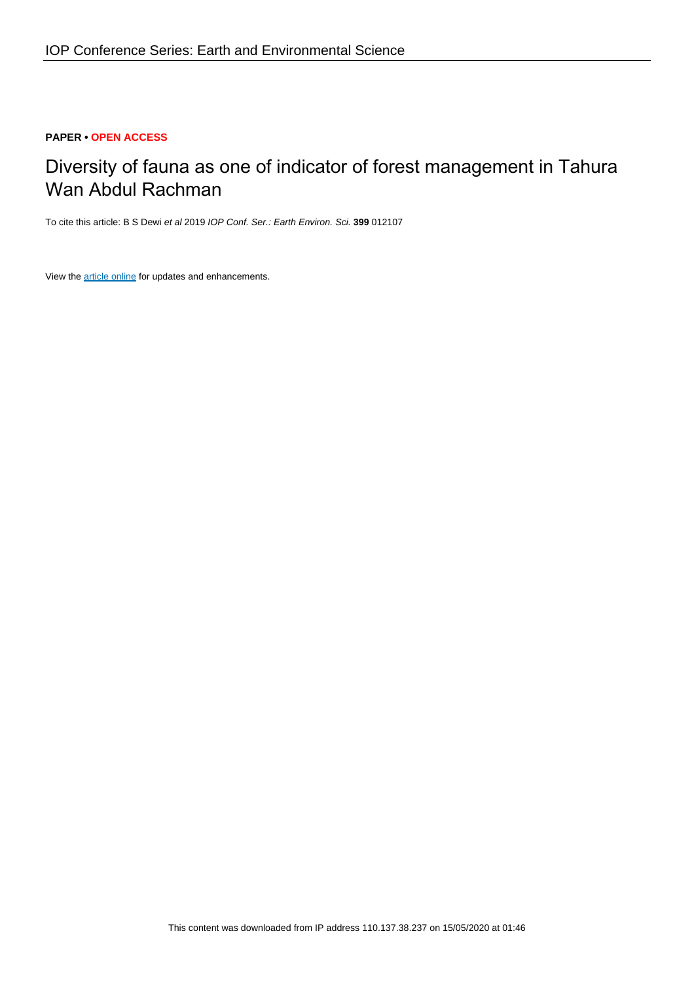## **PAPER • OPEN ACCESS**

# Diversity of fauna as one of indicator of forest management in Tahura Wan Abdul Rachman

To cite this article: B S Dewi et al 2019 IOP Conf. Ser.: Earth Environ. Sci. **399** 012107

View the [article online](https://doi.org/10.1088/1755-1315/399/1/012107) for updates and enhancements.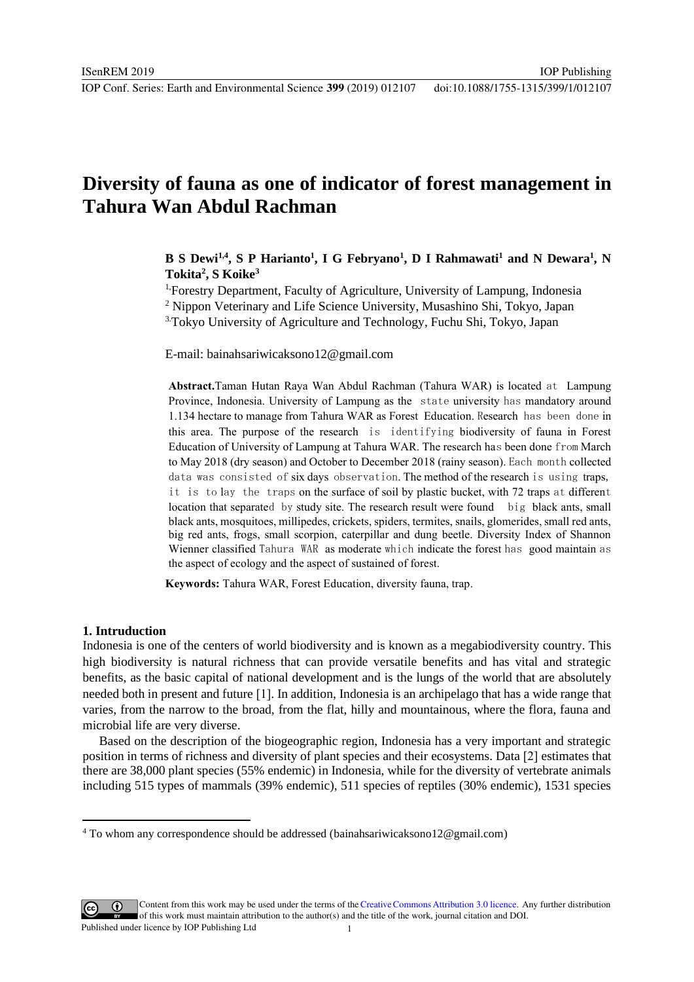IOP Conf. Series: Earth and Environmental Science **399** (2019) 012107 doi:10.1088/1755-1315/399/1/012107

## **Diversity of fauna as one of indicator of forest management in Tahura Wan Abdul Rachman**

## **B** S Dewi<sup>1,4</sup>, S P Harianto<sup>1</sup>, I G Febryano<sup>1</sup>, D I Rahmawati<sup>1</sup> and N Dewara<sup>1</sup>, N **Tokita2 , S Koike3**

IOP Publishing

<sup>1</sup><sup>,</sup>Forestry Department, Faculty of Agriculture, University of Lampung, Indonesia <sup>2</sup> Nippon Veterinary and Life Science University, Musashino Shi, Tokyo, Japan 3.Tokyo University of Agriculture and Technology, Fuchu Shi, Tokyo, Japan

E-mail: bainahsariwicaksono12@gmail.com

**Abstract.**Taman Hutan Raya Wan Abdul Rachman (Tahura WAR) is located at Lampung Province, Indonesia. University of Lampung as the state university has mandatory around 1.134 hectare to manage from Tahura WAR as Forest Education. Research has been done in this area. The purpose of the research is identifying biodiversity of fauna in Forest Education of University of Lampung at Tahura WAR. The research has been done from March to May 2018 (dry season) and October to December 2018 (rainy season). Each month collected data was consisted of six days observation. The method of the research is using traps, it is to lay the traps on the surface of soil by plastic bucket, with 72 traps at different location that separated by study site. The research result were found big black ants, small black ants, mosquitoes, millipedes, crickets, spiders, termites, snails, glomerides, small red ants, big red ants, frogs, small scorpion, caterpillar and dung beetle. Diversity Index of Shannon Wienner classified Tahura WAR as moderate which indicate the forest has good maintain as the aspect of ecology and the aspect of sustained of forest.

**Keywords:** Tahura WAR, Forest Education, diversity fauna, trap.

#### **1. Intruduction**

Indonesia is one of the centers of world biodiversity and is known as a megabiodiversity country. This high biodiversity is natural richness that can provide versatile benefits and has vital and strategic benefits, as the basic capital of national development and is the lungs of the world that are absolutely needed both in present and future [1]. In addition, Indonesia is an archipelago that has a wide range that varies, from the narrow to the broad, from the flat, hilly and mountainous, where the flora, fauna and microbial life are very diverse.

Based on the description of the biogeographic region, Indonesia has a very important and strategic position in terms of richness and diversity of plant species and their ecosystems. Data [2] estimates that there are 38,000 plant species (55% endemic) in Indonesia, while for the diversity of vertebrate animals including 515 types of mammals (39% endemic), 511 species of reptiles (30% endemic), 1531 species



Content from this work may be used under the terms of theCreative Commons Attribution 3.0 licence. Any further distribution of this work must maintain attribution to the author(s) and the title of the work, journal citation and DOI. Published under licence by IOP Publishing Ltd

<sup>4</sup> To whom any correspondence should be addressed (bainahsariwicaksono12@gmail.com)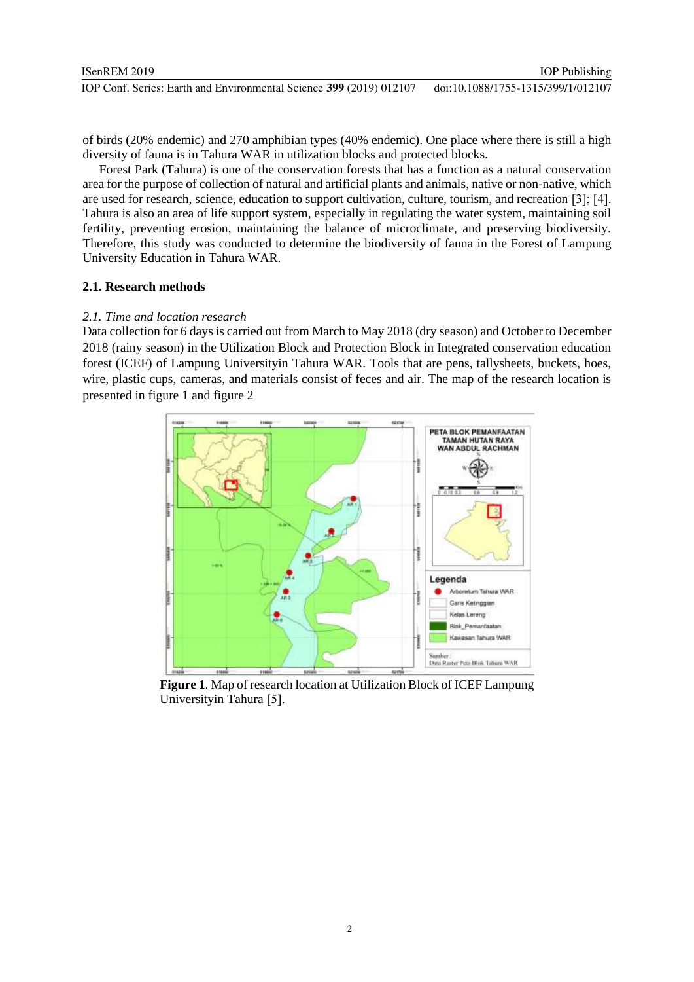| ISenREM 2019                                                        | <b>IOP</b> Publishing              |
|---------------------------------------------------------------------|------------------------------------|
| IOP Conf. Series: Earth and Environmental Science 399 (2019) 012107 | doi:10.1088/1755-1315/399/1/012107 |

of birds (20% endemic) and 270 amphibian types (40% endemic). One place where there is still a high diversity of fauna is in Tahura WAR in utilization blocks and protected blocks.

Forest Park (Tahura) is one of the conservation forests that has a function as a natural conservation area for the purpose of collection of natural and artificial plants and animals, native or non-native, which are used for research, science, education to support cultivation, culture, tourism, and recreation [3]; [4]. Tahura is also an area of life support system, especially in regulating the water system, maintaining soil fertility, preventing erosion, maintaining the balance of microclimate, and preserving biodiversity. Therefore, this study was conducted to determine the biodiversity of fauna in the Forest of Lampung University Education in Tahura WAR.

## **2.1. Research methods**

## *2.1. Time and location research*

Data collection for 6 days is carried out from March to May 2018 (dry season) and October to December 2018 (rainy season) in the Utilization Block and Protection Block in Integrated conservation education forest (ICEF) of Lampung Universityin Tahura WAR. Tools that are pens, tallysheets, buckets, hoes, wire, plastic cups, cameras, and materials consist of feces and air. The map of the research location is presented in figure 1 and figure 2



**Figure 1**. Map of research location at Utilization Block of ICEF Lampung Universityin Tahura [5].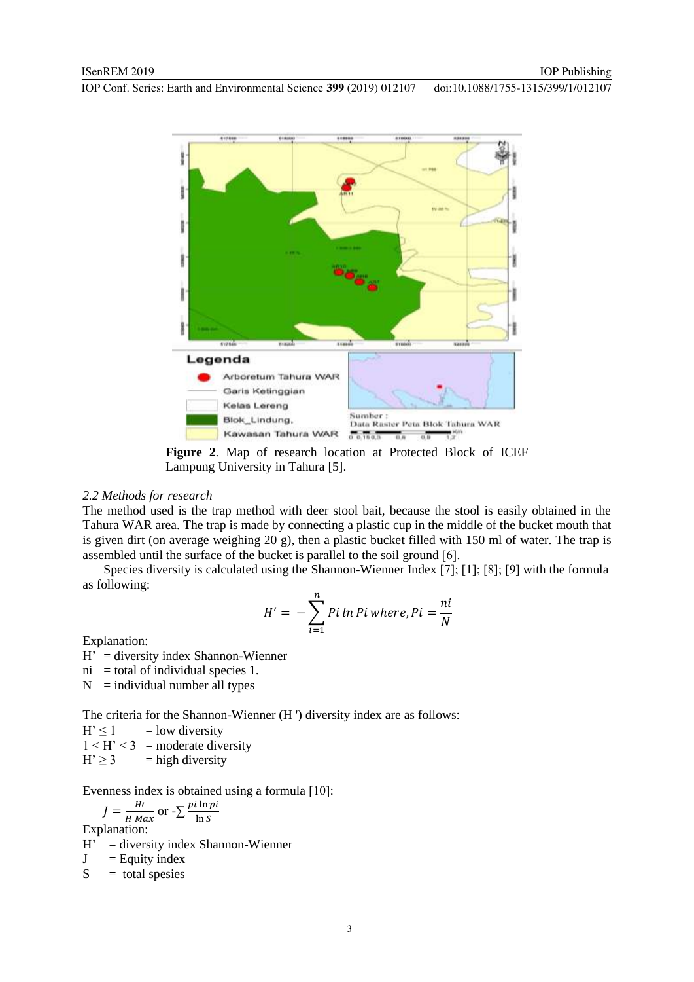IOP Conf. Series: Earth and Environmental Science **399** (2019) 012107 doi:10.1088/1755-1315/399/1/012107



**Figure 2**. Map of research location at Protected Block of ICEF Lampung University in Tahura [5].

#### *2.2 Methods for research*

The method used is the trap method with deer stool bait, because the stool is easily obtained in the Tahura WAR area. The trap is made by connecting a plastic cup in the middle of the bucket mouth that is given dirt (on average weighing 20 g), then a plastic bucket filled with 150 ml of water. The trap is assembled until the surface of the bucket is parallel to the soil ground [6].

Species diversity is calculated using the Shannon-Wienner Index [7]; [1]; [8]; [9] with the formula as following:

$$
H' = -\sum_{i=1}^{n} Pi \ln Pi \, where, Pi = \frac{ni}{N}
$$

Explanation:

- H' = diversity index Shannon-Wienner
- $ni = total of individual species 1.$
- $N =$ individual number all types

The criteria for the Shannon-Wienner (H ') diversity index are as follows:

 $H' \leq 1$  = low diversity  $1 \leq H' \leq 3$  = moderate diversity

 $H' \ge 3$  = high diversity

Evenness index is obtained using a formula [10]:  $J=\frac{H\prime}{H\,M}$  $\frac{Ht}{H Max}$  or  $-\sum \frac{pi \ln pi}{\ln s}$ Explanation: H' = diversity index Shannon-Wienner  $J =$  Equity index

 $S =$  total spesies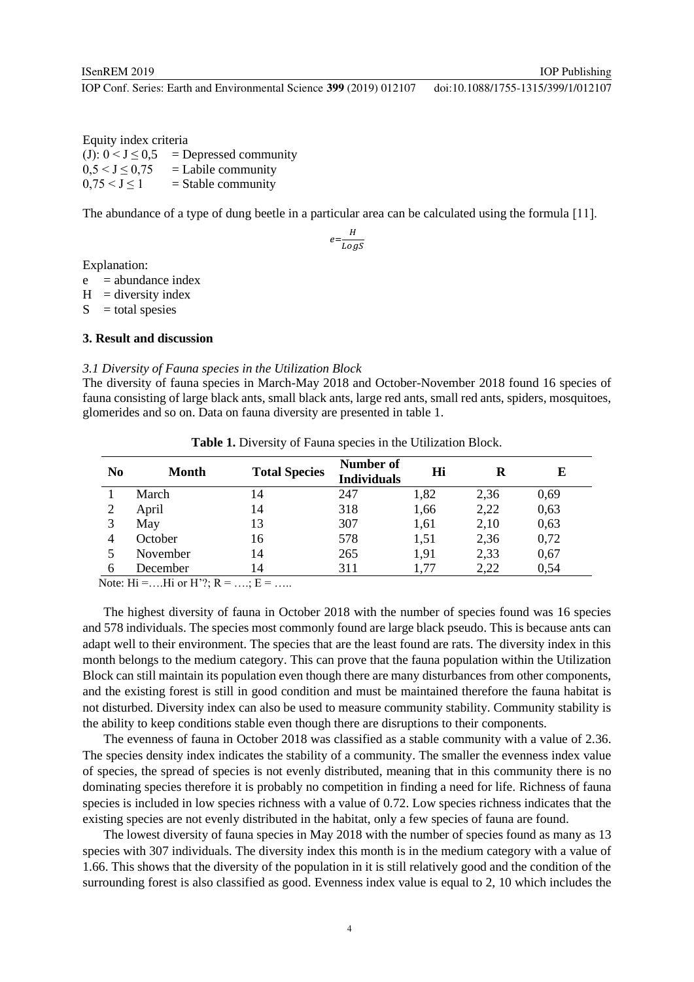IOP Publishing

Equity index criteria (J):  $0 < J \le 0.5$  = Depressed community  $0.5 < J \leq 0.75$  = Labile community  $0.75 < J \le 1$  = Stable community

The abundance of a type of dung beetle in a particular area can be calculated using the formula [11].

$$
e = \frac{H}{LogS}
$$

Explanation:

 $e =$ abundance index

 $H =$  diversity index

 $S =$  total spesies

## **3. Result and discussion**

#### *3.1 Diversity of Fauna species in the Utilization Block*

The diversity of fauna species in March-May 2018 and October-November 2018 found 16 species of fauna consisting of large black ants, small black ants, large red ants, small red ants, spiders, mosquitoes, glomerides and so on. Data on fauna diversity are presented in table 1.

| N <sub>0</sub> | <b>Month</b> | <b>Total Species</b> | Number of<br><b>Individuals</b> | Hi   |      | E    |
|----------------|--------------|----------------------|---------------------------------|------|------|------|
|                | March        | 14                   | 247                             | 1,82 | 2,36 | 0,69 |
| 2              | April        | 14                   | 318                             | 1,66 | 2,22 | 0,63 |
|                | May          | 13                   | 307                             | 1,61 | 2,10 | 0,63 |
| 4              | October      | 16                   | 578                             | 1,51 | 2,36 | 0,72 |
|                | November     | 14                   | 265                             | 1,91 | 2,33 | 0,67 |
| 6              | December     | 14                   | 311                             | 1.77 | 2,22 | 0,54 |

**Table 1.** Diversity of Fauna species in the Utilization Block.

Note: Hi =....Hi or H'?;  $R =$ ....;  $E =$ .....

The highest diversity of fauna in October 2018 with the number of species found was 16 species and 578 individuals. The species most commonly found are large black pseudo. This is because ants can adapt well to their environment. The species that are the least found are rats. The diversity index in this month belongs to the medium category. This can prove that the fauna population within the Utilization Block can still maintain its population even though there are many disturbances from other components, and the existing forest is still in good condition and must be maintained therefore the fauna habitat is not disturbed. Diversity index can also be used to measure community stability. Community stability is the ability to keep conditions stable even though there are disruptions to their components.

The evenness of fauna in October 2018 was classified as a stable community with a value of 2.36. The species density index indicates the stability of a community. The smaller the evenness index value of species, the spread of species is not evenly distributed, meaning that in this community there is no dominating species therefore it is probably no competition in finding a need for life. Richness of fauna species is included in low species richness with a value of 0.72. Low species richness indicates that the existing species are not evenly distributed in the habitat, only a few species of fauna are found.

The lowest diversity of fauna species in May 2018 with the number of species found as many as 13 species with 307 individuals. The diversity index this month is in the medium category with a value of 1.66. This shows that the diversity of the population in it is still relatively good and the condition of the surrounding forest is also classified as good. Evenness index value is equal to 2, 10 which includes the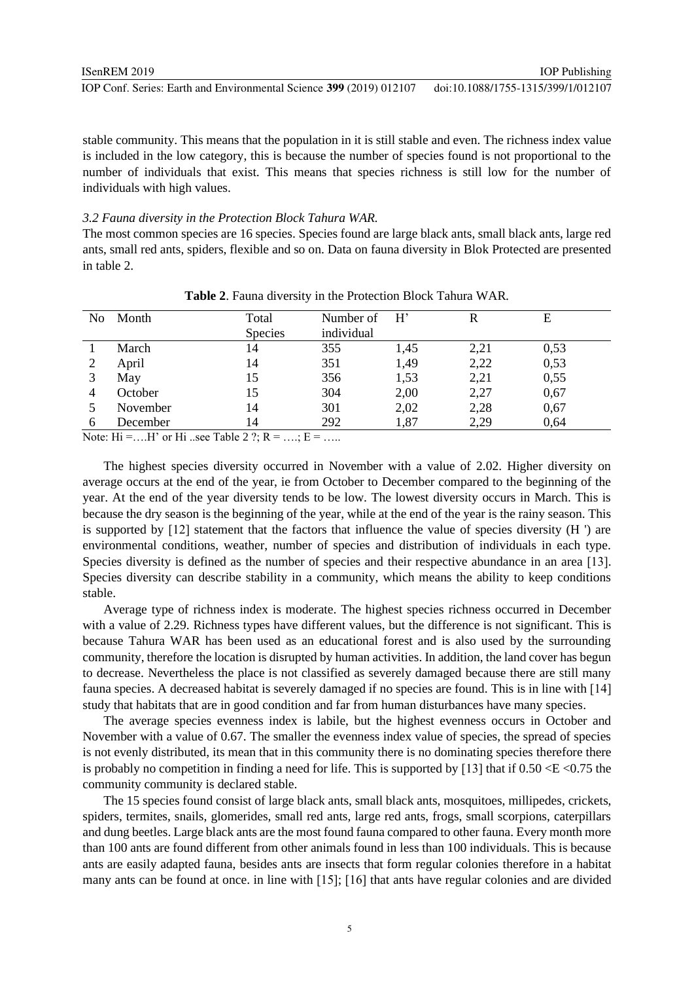| ISenREM 2019                                                        | <b>IOP</b> Publishing              |
|---------------------------------------------------------------------|------------------------------------|
| IOP Conf. Series: Earth and Environmental Science 399 (2019) 012107 | doi:10.1088/1755-1315/399/1/012107 |

stable community. This means that the population in it is still stable and even. The richness index value is included in the low category, this is because the number of species found is not proportional to the number of individuals that exist. This means that species richness is still low for the number of individuals with high values.

### *3.2 Fauna diversity in the Protection Block Tahura WAR.*

The most common species are 16 species. Species found are large black ants, small black ants, large red ants, small red ants, spiders, flexible and so on. Data on fauna diversity in Blok Protected are presented in table 2.

| Month    | Total                         | Number of                           | $\mathbf{H}^*$    |      | E    |      |
|----------|-------------------------------|-------------------------------------|-------------------|------|------|------|
|          |                               |                                     |                   |      |      |      |
|          |                               |                                     |                   |      |      |      |
| April    | 14                            | 351                                 | 1,49              | 2,22 | 0,53 |      |
| May      | 15                            | 356                                 | 1,53              | 2,21 | 0,55 |      |
| October  | 15                            | 304                                 | 2,00              | 2,27 | 0,67 |      |
| November | 14                            | 301                                 | 2,02              | 2,28 | 0,67 |      |
| December | 14                            | 292                                 | 1,87              | 2,29 | 0,64 |      |
|          | March<br>$- - -$<br>_________ | <b>Species</b><br>14<br>_ _ _ _ _ _ | individual<br>355 | 1,45 | 2,21 | 0,53 |

**Table 2**. Fauna diversity in the Protection Block Tahura WAR*.*

Note: Hi =....H' or Hi ..see Table 2 ?;  $R =$ ....;  $E =$ .....

The highest species diversity occurred in November with a value of 2.02. Higher diversity on average occurs at the end of the year, ie from October to December compared to the beginning of the year. At the end of the year diversity tends to be low. The lowest diversity occurs in March. This is because the dry season is the beginning of the year, while at the end of the year is the rainy season. This is supported by [12] statement that the factors that influence the value of species diversity (H ') are environmental conditions, weather, number of species and distribution of individuals in each type. Species diversity is defined as the number of species and their respective abundance in an area [13]. Species diversity can describe stability in a community, which means the ability to keep conditions stable.

Average type of richness index is moderate. The highest species richness occurred in December with a value of 2.29. Richness types have different values, but the difference is not significant. This is because Tahura WAR has been used as an educational forest and is also used by the surrounding community, therefore the location is disrupted by human activities. In addition, the land cover has begun to decrease. Nevertheless the place is not classified as severely damaged because there are still many fauna species. A decreased habitat is severely damaged if no species are found. This is in line with [14] study that habitats that are in good condition and far from human disturbances have many species.

The average species evenness index is labile, but the highest evenness occurs in October and November with a value of 0.67. The smaller the evenness index value of species, the spread of species is not evenly distributed, its mean that in this community there is no dominating species therefore there is probably no competition in finding a need for life. This is supported by [13] that if  $0.50 \leq E \leq 0.75$  the community community is declared stable.

The 15 species found consist of large black ants, small black ants, mosquitoes, millipedes, crickets, spiders, termites, snails, glomerides, small red ants, large red ants, frogs, small scorpions, caterpillars and dung beetles. Large black ants are the most found fauna compared to other fauna. Every month more than 100 ants are found different from other animals found in less than 100 individuals. This is because ants are easily adapted fauna, besides ants are insects that form regular colonies therefore in a habitat many ants can be found at once. in line with [15]; [16] that ants have regular colonies and are divided